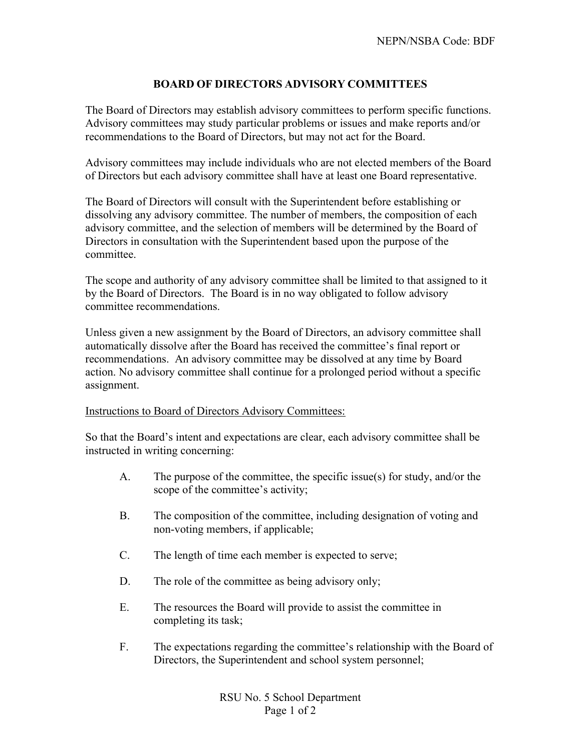## **BOARD OF DIRECTORS ADVISORY COMMITTEES**

The Board of Directors may establish advisory committees to perform specific functions. Advisory committees may study particular problems or issues and make reports and/or recommendations to the Board of Directors, but may not act for the Board.

Advisory committees may include individuals who are not elected members of the Board of Directors but each advisory committee shall have at least one Board representative.

The Board of Directors will consult with the Superintendent before establishing or dissolving any advisory committee. The number of members, the composition of each advisory committee, and the selection of members will be determined by the Board of Directors in consultation with the Superintendent based upon the purpose of the committee.

The scope and authority of any advisory committee shall be limited to that assigned to it by the Board of Directors. The Board is in no way obligated to follow advisory committee recommendations.

Unless given a new assignment by the Board of Directors, an advisory committee shall automatically dissolve after the Board has received the committee's final report or recommendations. An advisory committee may be dissolved at any time by Board action. No advisory committee shall continue for a prolonged period without a specific assignment.

## Instructions to Board of Directors Advisory Committees:

So that the Board's intent and expectations are clear, each advisory committee shall be instructed in writing concerning:

- A. The purpose of the committee, the specific issue(s) for study, and/or the scope of the committee's activity;
- B. The composition of the committee, including designation of voting and non-voting members, if applicable;
- C. The length of time each member is expected to serve;
- D. The role of the committee as being advisory only;
- E. The resources the Board will provide to assist the committee in completing its task;
- F. The expectations regarding the committee's relationship with the Board of Directors, the Superintendent and school system personnel;